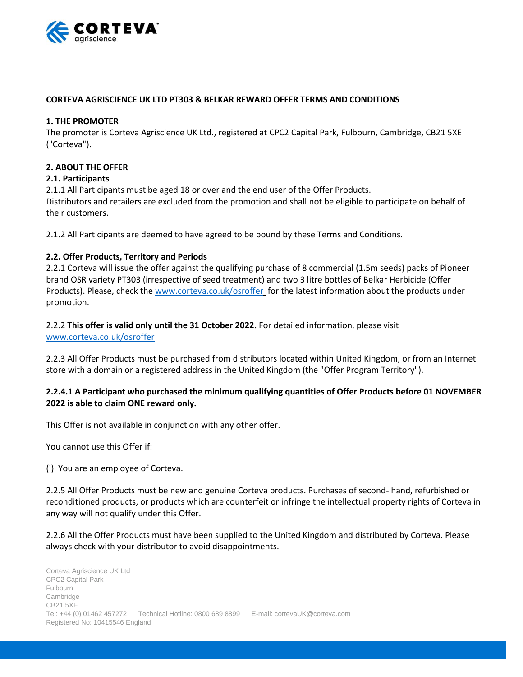

# **CORTEVA AGRISCIENCE UK LTD PT303 & BELKAR REWARD OFFER TERMS AND CONDITIONS**

### **1. THE PROMOTER**

The promoter is Corteva Agriscience UK Ltd., registered at CPC2 Capital Park, Fulbourn, Cambridge, CB21 5XE ("Corteva").

### **2. ABOUT THE OFFER**

### **2.1. Participants**

2.1.1 All Participants must be aged 18 or over and the end user of the Offer Products.

Distributors and retailers are excluded from the promotion and shall not be eligible to participate on behalf of their customers.

2.1.2 All Participants are deemed to have agreed to be bound by these Terms and Conditions.

# **2.2. Offer Products, Territory and Periods**

2.2.1 Corteva will issue the offer against the qualifying purchase of 8 commercial (1.5m seeds) packs of Pioneer brand OSR variety PT303 (irrespective of seed treatment) and two 3 litre bottles of Belkar Herbicide (Offer Products). Please, check the [www.corteva.co.uk/osroffer](http://www.corteva.co.uk/osroffer) for the latest information about the products under promotion.

2.2.2 **This offer is valid only until the 31 October 2022.** For detailed information, please visit [www.corteva.co.uk/osroffer](http://www.corteva.co.uk/osroffer)

2.2.3 All Offer Products must be purchased from distributors located within United Kingdom, or from an Internet store with a domain or a registered address in the United Kingdom (the "Offer Program Territory").

# **2.2.4.1 A Participant who purchased the minimum qualifying quantities of Offer Products before 01 NOVEMBER 2022 is able to claim ONE reward only.**

This Offer is not available in conjunction with any other offer.

You cannot use this Offer if:

(i) You are an employee of Corteva.

2.2.5 All Offer Products must be new and genuine Corteva products. Purchases of second- hand, refurbished or reconditioned products, or products which are counterfeit or infringe the intellectual property rights of Corteva in any way will not qualify under this Offer.

2.2.6 All the Offer Products must have been supplied to the United Kingdom and distributed by Corteva. Please always check with your distributor to avoid disappointments.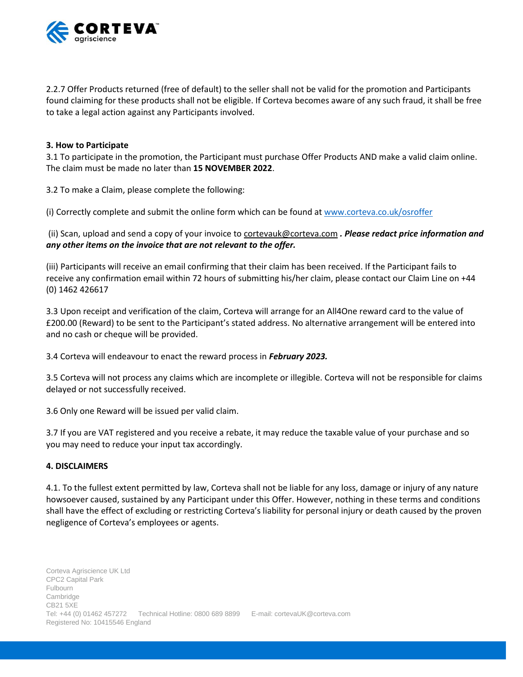

2.2.7 Offer Products returned (free of default) to the seller shall not be valid for the promotion and Participants found claiming for these products shall not be eligible. If Corteva becomes aware of any such fraud, it shall be free to take a legal action against any Participants involved.

### **3. How to Participate**

3.1 To participate in the promotion, the Participant must purchase Offer Products AND make a valid claim online. The claim must be made no later than **15 NOVEMBER 2022**.

3.2 To make a Claim, please complete the following:

(i) Correctly complete and submit the online form which can be found a[t www.corteva.co.uk/osroffer](http://www.corteva.co.uk/osroffer)

(ii) Scan, upload and send a copy of your invoice to [cortevauk@corteva.com](mailto:cortevauk@corteva.com) *. Please redact price information and any other items on the invoice that are not relevant to the offer.*

(iii) Participants will receive an email confirming that their claim has been received. If the Participant fails to receive any confirmation email within 72 hours of submitting his/her claim, please contact our Claim Line on +44 (0) 1462 426617

3.3 Upon receipt and verification of the claim, Corteva will arrange for an All4One reward card to the value of £200.00 (Reward) to be sent to the Participant's stated address. No alternative arrangement will be entered into and no cash or cheque will be provided.

3.4 Corteva will endeavour to enact the reward process in *February 2023.*

3.5 Corteva will not process any claims which are incomplete or illegible. Corteva will not be responsible for claims delayed or not successfully received.

3.6 Only one Reward will be issued per valid claim.

3.7 If you are VAT registered and you receive a rebate, it may reduce the taxable value of your purchase and so you may need to reduce your input tax accordingly.

# **4. DISCLAIMERS**

4.1. To the fullest extent permitted by law, Corteva shall not be liable for any loss, damage or injury of any nature howsoever caused, sustained by any Participant under this Offer. However, nothing in these terms and conditions shall have the effect of excluding or restricting Corteva's liability for personal injury or death caused by the proven negligence of Corteva's employees or agents.